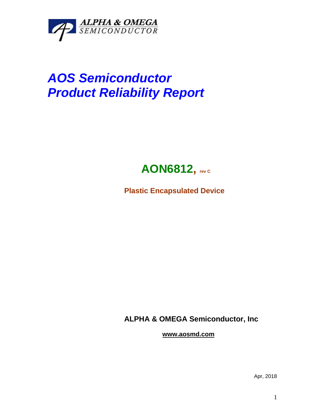

## *AOS Semiconductor Product Reliability Report*



**Plastic Encapsulated Device**

**ALPHA & OMEGA Semiconductor, Inc**

**www.aosmd.com**

Apr, 2018